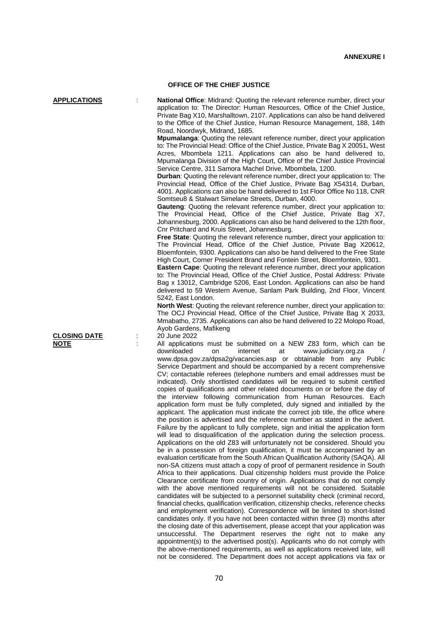## **OFFICE OF THE CHIEF JUSTICE**

**APPLICATIONS** : **National Office**: Midrand: Quoting the relevant reference number, direct your application to: The Director: Human Resources, Office of the Chief Justice, Private Bag X10, Marshalltown, 2107. Applications can also be hand delivered to the Office of the Chief Justice, Human Resource Management, 188, 14th Road, Noordwyk, Midrand, 1685.

> **Mpumalanga**: Quoting the relevant reference number, direct your application to: The Provincial Head: Office of the Chief Justice, Private Bag X 20051, West Acres, Mbombela 1211. Applications can also be hand delivered to, Mpumalanga Division of the High Court, Office of the Chief Justice Provincial Service Centre, 311 Samora Machel Drive, Mbombela, 1200.

> **Durban**: Quoting the relevant reference number, direct your application to: The Provincial Head, Office of the Chief Justice, Private Bag X54314, Durban, 4001. Applications can also be hand delivered to 1st Floor Office No 118, CNR Somtseu8 & Stalwart Simelane Streets, Durban, 4000.

> **Gauteng**: Quoting the relevant reference number, direct your application to: The Provincial Head, Office of the Chief Justice, Private Bag X7, Johannesburg, 2000. Applications can also be hand delivered to the 12th floor, Cnr Pritchard and Kruis Street, Johannesburg.

> **Free State**: Quoting the relevant reference number, direct your application to: The Provincial Head, Office of the Chief Justice, Private Bag X20612, Bloemfontein, 9300. Applications can also be hand delivered to the Free State High Court, Corner President Brand and Fontein Street, Bloemfontein, 9301.

> **Eastern Cape**: Quoting the relevant reference number, direct your application to: The Provincial Head, Office of the Chief Justice, Postal Address: Private Bag x 13012, Cambridge 5206, East London. Applications can also be hand delivered to 59 Western Avenue, Sanlam Park Building, 2nd Floor, Vincent 5242, East London.

> **North West:** Quoting the relevant reference number, direct your application to: The OCJ Provincial Head, Office of the Chief Justice, Private Bag X 2033, Mmabatho, 2735. Applications can also be hand delivered to 22 Molopo Road, Ayob Gardens, Mafikeng

**NOTE** : All applications must be submitted on a NEW Z83 form, which can be <br>downloaded on internet at www.iudiciary.org.za www.judiciary.org.za www.dpsa.gov.za/dpsa2g/vacancies.asp or obtainable from any Public Service Department and should be accompanied by a recent comprehensive CV; contactable referees (telephone numbers and email addresses must be indicated). Only shortlisted candidates will be required to submit certified copies of qualifications and other related documents on or before the day of the interview following communication from Human Resources. Each application form must be fully completed, duly signed and initialled by the applicant. The application must indicate the correct job title, the office where the position is advertised and the reference number as stated in the advert. Failure by the applicant to fully complete, sign and initial the application form will lead to disqualification of the application during the selection process. Applications on the old Z83 will unfortunately not be considered. Should you be in a possession of foreign qualification, it must be accompanied by an evaluation certificate from the South African Qualification Authority (SAQA). All non-SA citizens must attach a copy of proof of permanent residence in South Africa to their applications. Dual citizenship holders must provide the Police Clearance certificate from country of origin. Applications that do not comply with the above mentioned requirements will not be considered. Suitable candidates will be subjected to a personnel suitability check (criminal record, financial checks, qualification verification, citizenship checks, reference checks and employment verification). Correspondence will be limited to short-listed candidates only. If you have not been contacted within three (3) months after the closing date of this advertisement, please accept that your application was unsuccessful. The Department reserves the right not to make any appointment(s) to the advertised post(s). Applicants who do not comply with the above-mentioned requirements, as well as applications received late, will not be considered. The Department does not accept applications via fax or

**CLOSING DATE** : 20 June 2022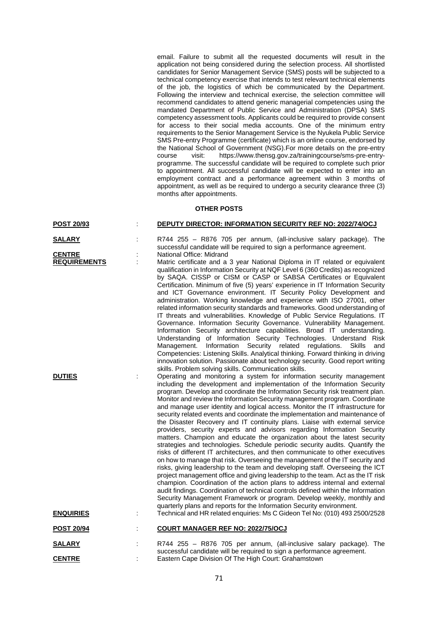email. Failure to submit all the requested documents will result in the application not being considered during the selection process. All shortlisted candidates for Senior Management Service (SMS) posts will be subjected to a technical competency exercise that intends to test relevant technical elements of the job, the logistics of which be communicated by the Department. Following the interview and technical exercise, the selection committee will recommend candidates to attend generic managerial competencies using the mandated Department of Public Service and Administration (DPSA) SMS competency assessment tools. Applicants could be required to provide consent for access to their social media accounts. One of the minimum entry requirements to the Senior Management Service is the Nyukela Public Service SMS Pre-entry Programme (certificate) which is an online course, endorsed by the National School of Government (NSG).For more details on the pre-entry course visit: https://www.thensg.gov.za/trainingcourse/sms-pre-entryprogramme. The successful candidate will be required to complete such prior to appointment. All successful candidate will be expected to enter into an employment contract and a performance agreement within 3 months of appointment, as well as be required to undergo a security clearance three (3) months after appointments.

## **OTHER POSTS**

| <b>POST 20/93</b> | <b>DEPUTY DIRECTOR: INFORMATION SECURITY REF NO: 2022/74/OCJ</b> |
|-------------------|------------------------------------------------------------------|
|-------------------|------------------------------------------------------------------|

- **SALARY** : R744 255 R876 705 per annum, (all-inclusive salary package). The successful candidate will be required to sign a performance agreement.
- **CENTRE** : National Office: Midrand<br> **REQUIREMENTS** : Matric certificate and a
	- **REQUIREM**: Matric certificate and a 3 year National Diploma in IT related or equivalent qualification in Information Security at NQF Level 6 (360 Credits) as recognized by SAQA. CISSP or CISM or CASP or SABSA Certificates or Equivalent Certification. Minimum of five (5) years' experience in IT Information Security and ICT Governance environment. IT Security Policy Development and administration. Working knowledge and experience with ISO 27001, other related information security standards and frameworks. Good understanding of IT threats and vulnerabilities. Knowledge of Public Service Regulations. IT Governance. Information Security Governance. Vulnerability Management. Information Security architecture capabilities. Broad IT understanding. Understanding of Information Security Technologies. Understand Risk Management. Information Security related regulations. Skills and Competencies: Listening Skills. Analytical thinking. Forward thinking in driving innovation solution. Passionate about technology security. Good report writing skills. Problem solving skills. Communication skills.

**DUTIES** : Operating and monitoring a system for information security management including the development and implementation of the Information Security program. Develop and coordinate the Information Security risk treatment plan. Monitor and review the Information Security management program. Coordinate and manage user identity and logical access. Monitor the IT infrastructure for security related events and coordinate the implementation and maintenance of the Disaster Recovery and IT continuity plans. Liaise with external service providers, security experts and advisors regarding Information Security matters. Champion and educate the organization about the latest security strategies and technologies. Schedule periodic security audits. Quantify the risks of different IT architectures, and then communicate to other executives on how to manage that risk. Overseeing the management of the IT security and risks, giving leadership to the team and developing staff. Overseeing the ICT project management office and giving leadership to the team. Act as the IT risk champion. Coordination of the action plans to address internal and external audit findings. Coordination of technical controls defined within the Information Security Management Framework or program. Develop weekly, monthly and quarterly plans and reports for the Information Security environment. **ENQUIRIES** : Technical and HR related enquiries: Ms C Gideon Tel No: (010) 493 2500/2528

| <b>POST 20/94</b> | <b>COURT MANAGER REF NO: 2022/75/OCJ</b>                                                                                                     |
|-------------------|----------------------------------------------------------------------------------------------------------------------------------------------|
| <b>SALARY</b>     | R744 255 - R876 705 per annum, (all-inclusive salary package). The<br>successful candidate will be required to sign a performance agreement. |
| <b>CENTRE</b>     | Eastern Cape Division Of The High Court: Grahamstown                                                                                         |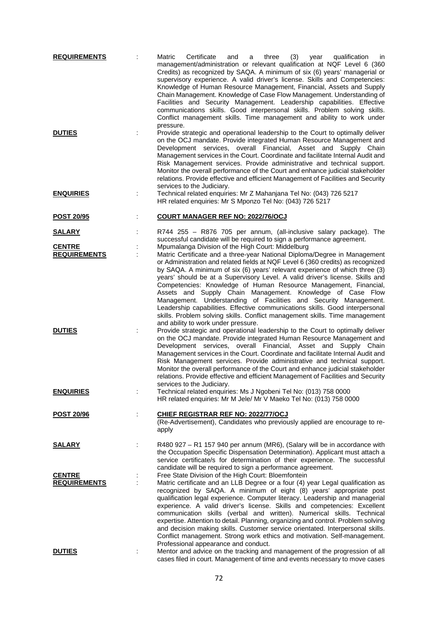| <b>REQUIREMENTS</b>                  |   | Matric<br>Certificate<br>three<br>(3)<br>and<br>year<br>qualification<br>in<br>a<br>management/administration or relevant qualification at NQF Level 6 (360<br>Credits) as recognized by SAQA. A minimum of six (6) years' managerial or<br>supervisory experience. A valid driver's license. Skills and Competencies:<br>Knowledge of Human Resource Management, Financial, Assets and Supply<br>Chain Management. Knowledge of Case Flow Management. Understanding of<br>Facilities and Security Management. Leadership capabilities. Effective<br>communications skills. Good interpersonal skills. Problem solving skills.<br>Conflict management skills. Time management and ability to work under                                      |
|--------------------------------------|---|----------------------------------------------------------------------------------------------------------------------------------------------------------------------------------------------------------------------------------------------------------------------------------------------------------------------------------------------------------------------------------------------------------------------------------------------------------------------------------------------------------------------------------------------------------------------------------------------------------------------------------------------------------------------------------------------------------------------------------------------|
| <b>DUTIES</b>                        |   | pressure.<br>Provide strategic and operational leadership to the Court to optimally deliver<br>on the OCJ mandate. Provide integrated Human Resource Management and<br>Development services, overall Financial, Asset and Supply Chain<br>Management services in the Court. Coordinate and facilitate Internal Audit and<br>Risk Management services. Provide administrative and technical support.<br>Monitor the overall performance of the Court and enhance judicial stakeholder<br>relations. Provide effective and efficient Management of Facilities and Security<br>services to the Judiciary.                                                                                                                                       |
| <b>ENQUIRIES</b>                     |   | Technical related enquiries: Mr Z Mahanjana Tel No: (043) 726 5217<br>HR related enquiries: Mr S Mponzo Tel No: (043) 726 5217                                                                                                                                                                                                                                                                                                                                                                                                                                                                                                                                                                                                               |
| POST 20/95                           |   | <b>COURT MANAGER REF NO: 2022/76/OCJ</b>                                                                                                                                                                                                                                                                                                                                                                                                                                                                                                                                                                                                                                                                                                     |
| <u>SALARY</u>                        |   | R744 255 - R876 705 per annum, (all-inclusive salary package). The<br>successful candidate will be required to sign a performance agreement.                                                                                                                                                                                                                                                                                                                                                                                                                                                                                                                                                                                                 |
| <b>CENTRE</b><br><b>REQUIREMENTS</b> | ÷ | Mpumalanga Division of the High Court: Middelburg<br>Matric Certificate and a three-year National Diploma/Degree in Management<br>or Administration and related fields at NQF Level 6 (360 credits) as recognized<br>by SAQA. A minimum of six (6) years' relevant experience of which three (3)<br>years' should be at a Supervisory Level. A valid driver's license. Skills and                                                                                                                                                                                                                                                                                                                                                            |
|                                      |   | Competencies: Knowledge of Human Resource Management, Financial,<br>Assets and Supply Chain Management. Knowledge of Case Flow<br>Management. Understanding of Facilities and Security Management.<br>Leadership capabilities. Effective communications skills. Good interpersonal<br>skills. Problem solving skills. Conflict management skills. Time management<br>and ability to work under pressure.                                                                                                                                                                                                                                                                                                                                     |
| <b>DUTIES</b>                        | ÷ | Provide strategic and operational leadership to the Court to optimally deliver<br>on the OCJ mandate. Provide integrated Human Resource Management and<br>Development services, overall Financial, Asset and Supply Chain<br>Management services in the Court. Coordinate and facilitate Internal Audit and<br>Risk Management services. Provide administrative and technical support.<br>Monitor the overall performance of the Court and enhance judicial stakeholder<br>relations. Provide effective and efficient Management of Facilities and Security                                                                                                                                                                                  |
| <b>ENQUIRIES</b>                     |   | services to the Judiciary.<br>Technical related enquiries: Ms J Ngobeni Tel No: (013) 758 0000<br>HR related enquiries: Mr M Jele/ Mr V Maeko Tel No: (013) 758 0000                                                                                                                                                                                                                                                                                                                                                                                                                                                                                                                                                                         |
| <b>POST 20/96</b>                    | ÷ | CHIEF REGISTRAR REF NO: 2022/77/OCJ<br>(Re-Advertisement), Candidates who previously applied are encourage to re-<br>apply                                                                                                                                                                                                                                                                                                                                                                                                                                                                                                                                                                                                                   |
| <b>SALARY</b>                        | ÷ | R480 927 - R1 157 940 per annum (MR6), (Salary will be in accordance with<br>the Occupation Specific Dispensation Determination). Applicant must attach a<br>service certificate/s for determination of their experience. The successful<br>candidate will be required to sign a performance agreement.                                                                                                                                                                                                                                                                                                                                                                                                                                      |
| <b>CENTRE</b><br><b>REQUIREMENTS</b> |   | Free State Division of the High Court: Bloemfontein<br>Matric certificate and an LLB Degree or a four (4) year Legal qualification as<br>recognized by SAQA. A minimum of eight (8) years' appropriate post<br>qualification legal experience. Computer literacy. Leadership and managerial<br>experience. A valid driver's license. Skills and competencies: Excellent<br>communication skills (verbal and written). Numerical skills. Technical<br>expertise. Attention to detail. Planning, organizing and control. Problem solving<br>and decision making skills. Customer service orientated. Interpersonal skills.<br>Conflict management. Strong work ethics and motivation. Self-management.<br>Professional appearance and conduct. |
| <b>DUTIES</b>                        |   | Mentor and advice on the tracking and management of the progression of all<br>cases filed in court. Management of time and events necessary to move cases                                                                                                                                                                                                                                                                                                                                                                                                                                                                                                                                                                                    |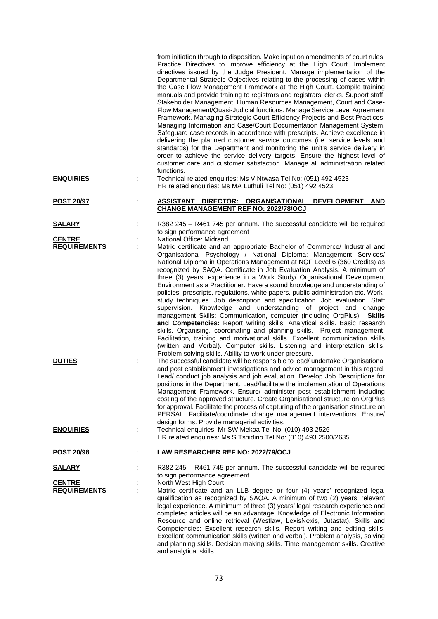|                                      | from initiation through to disposition. Make input on amendments of court rules.<br>Practice Directives to improve efficiency at the High Court. Implement<br>directives issued by the Judge President. Manage implementation of the<br>Departmental Strategic Objectives relating to the processing of cases within<br>the Case Flow Management Framework at the High Court. Compile training<br>manuals and provide training to registrars and registrars' clerks. Support staff.<br>Stakeholder Management, Human Resources Management, Court and Case-<br>Flow Management/Quasi-Judicial functions. Manage Service Level Agreement<br>Framework. Managing Strategic Court Efficiency Projects and Best Practices.<br>Managing Information and Case/Court Documentation Management System.<br>Safeguard case records in accordance with prescripts. Achieve excellence in<br>delivering the planned customer service outcomes (i.e. service levels and<br>standards) for the Department and monitoring the unit's service delivery in<br>order to achieve the service delivery targets. Ensure the highest level of<br>customer care and customer satisfaction. Manage all administration related<br>functions.                                         |
|--------------------------------------|------------------------------------------------------------------------------------------------------------------------------------------------------------------------------------------------------------------------------------------------------------------------------------------------------------------------------------------------------------------------------------------------------------------------------------------------------------------------------------------------------------------------------------------------------------------------------------------------------------------------------------------------------------------------------------------------------------------------------------------------------------------------------------------------------------------------------------------------------------------------------------------------------------------------------------------------------------------------------------------------------------------------------------------------------------------------------------------------------------------------------------------------------------------------------------------------------------------------------------------------------------|
| <b>ENQUIRIES</b>                     | Technical related enquiries: Ms V Ntwasa Tel No: (051) 492 4523<br>HR related enquiries: Ms MA Luthuli Tel No: (051) 492 4523                                                                                                                                                                                                                                                                                                                                                                                                                                                                                                                                                                                                                                                                                                                                                                                                                                                                                                                                                                                                                                                                                                                              |
| <u>POST 20/97</u>                    | ASSISTANT DIRECTOR: ORGANISATIONAL<br><b>DEVELOPMENT</b><br><b>AND</b><br>CHANGE MANAGEMENT REF NO: 2022/78/OCJ                                                                                                                                                                                                                                                                                                                                                                                                                                                                                                                                                                                                                                                                                                                                                                                                                                                                                                                                                                                                                                                                                                                                            |
| <u>SALARY</u>                        | R382 245 - R461 745 per annum. The successful candidate will be required<br>to sign performance agreement                                                                                                                                                                                                                                                                                                                                                                                                                                                                                                                                                                                                                                                                                                                                                                                                                                                                                                                                                                                                                                                                                                                                                  |
| <b>CENTRE</b>                        | National Office: Midrand                                                                                                                                                                                                                                                                                                                                                                                                                                                                                                                                                                                                                                                                                                                                                                                                                                                                                                                                                                                                                                                                                                                                                                                                                                   |
| <b>REQUIREMENTS</b><br><b>DUTIES</b> | Matric certificate and an appropriate Bachelor of Commerce/ Industrial and<br>Organisational Psychology / National Diploma: Management Services/<br>National Diploma in Operations Management at NQF Level 6 (360 Credits) as<br>recognized by SAQA. Certificate in Job Evaluation Analysis. A minimum of<br>three (3) years' experience in a Work Study/ Organisational Development<br>Environment as a Practitioner. Have a sound knowledge and understanding of<br>policies, prescripts, regulations, white papers, public administration etc. Work-<br>study techniques. Job description and specification. Job evaluation. Staff<br>supervision. Knowledge and understanding of project and change<br>management Skills: Communication, computer (including OrgPlus). Skills<br>and Competencies: Report writing skills. Analytical skills. Basic research<br>skills. Organising, coordinating and planning skills. Project management.<br>Facilitation, training and motivational skills. Excellent communication skills<br>(written and Verbal). Computer skills. Listening and interpretation skills.<br>Problem solving skills. Ability to work under pressure.<br>The successful candidate will be responsible to lead/ undertake Organisational |
| <b>ENQUIRIES</b>                     | and post establishment investigations and advice management in this regard.<br>Lead/ conduct job analysis and job evaluation. Develop Job Descriptions for<br>positions in the Department. Lead/facilitate the implementation of Operations<br>Management Framework. Ensure/ administer post establishment including<br>costing of the approved structure. Create Organisational structure on OrgPlus<br>for approval. Facilitate the process of capturing of the organisation structure on<br>PERSAL. Facilitate/coordinate change management interventions. Ensure/<br>design forms. Provide managerial activities.<br>Technical enquiries: Mr SW Mekoa Tel No: (010) 493 2526<br>t                                                                                                                                                                                                                                                                                                                                                                                                                                                                                                                                                                      |
|                                      | HR related enquiries: Ms S Tshidino Tel No: (010) 493 2500/2635                                                                                                                                                                                                                                                                                                                                                                                                                                                                                                                                                                                                                                                                                                                                                                                                                                                                                                                                                                                                                                                                                                                                                                                            |
| <b>POST 20/98</b>                    | <b>LAW RESEARCHER REF NO: 2022/79/OCJ</b>                                                                                                                                                                                                                                                                                                                                                                                                                                                                                                                                                                                                                                                                                                                                                                                                                                                                                                                                                                                                                                                                                                                                                                                                                  |
| <u>SALARY</u>                        | R382 245 - R461 745 per annum. The successful candidate will be required<br>to sign performance agreement.                                                                                                                                                                                                                                                                                                                                                                                                                                                                                                                                                                                                                                                                                                                                                                                                                                                                                                                                                                                                                                                                                                                                                 |
| <b>CENTRE</b>                        | North West High Court                                                                                                                                                                                                                                                                                                                                                                                                                                                                                                                                                                                                                                                                                                                                                                                                                                                                                                                                                                                                                                                                                                                                                                                                                                      |
| <b>REQUIREMENTS</b>                  | Matric certificate and an LLB degree or four (4) years' recognized legal<br>qualification as recognized by SAQA. A minimum of two (2) years' relevant<br>legal experience. A minimum of three (3) years' legal research experience and<br>completed articles will be an advantage. Knowledge of Electronic Information<br>Resource and online retrieval (Westlaw, LexisNexis, Jutastat). Skills and<br>Competencies: Excellent research skills. Report writing and editing skills.<br>Excellent communication skills (written and verbal). Problem analysis, solving<br>and planning skills. Decision making skills. Time management skills. Creative<br>and analytical skills.                                                                                                                                                                                                                                                                                                                                                                                                                                                                                                                                                                            |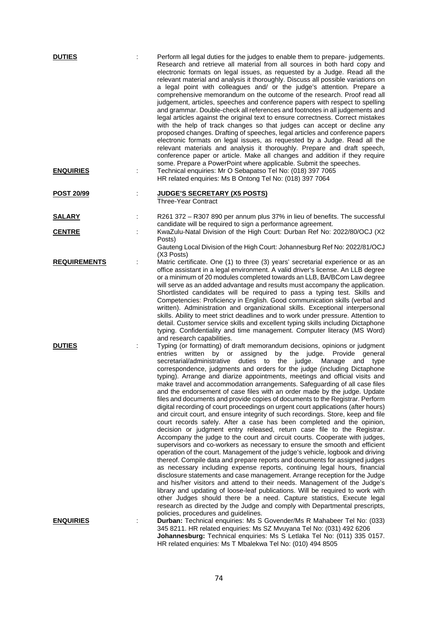| <b>DUTIES</b>       |   | Perform all legal duties for the judges to enable them to prepare-judgements.<br>Research and retrieve all material from all sources in both hard copy and<br>electronic formats on legal issues, as requested by a Judge. Read all the<br>relevant material and analysis it thoroughly. Discuss all possible variations on<br>a legal point with colleagues and/ or the judge's attention. Prepare a<br>comprehensive memorandum on the outcome of the research. Proof read all<br>judgement, articles, speeches and conference papers with respect to spelling<br>and grammar. Double-check all references and footnotes in all judgements and<br>legal articles against the original text to ensure correctness. Correct mistakes<br>with the help of track changes so that judges can accept or decline any<br>proposed changes. Drafting of speeches, legal articles and conference papers<br>electronic formats on legal issues, as requested by a Judge. Read all the<br>relevant materials and analysis it thoroughly. Prepare and draft speech,<br>conference paper or article. Make all changes and addition if they require<br>some. Prepare a PowerPoint where applicable. Submit the speeches.                                                                                                                                                                                                                                                                                                                                                                                                                                                                                                                                                                                                                        |
|---------------------|---|------------------------------------------------------------------------------------------------------------------------------------------------------------------------------------------------------------------------------------------------------------------------------------------------------------------------------------------------------------------------------------------------------------------------------------------------------------------------------------------------------------------------------------------------------------------------------------------------------------------------------------------------------------------------------------------------------------------------------------------------------------------------------------------------------------------------------------------------------------------------------------------------------------------------------------------------------------------------------------------------------------------------------------------------------------------------------------------------------------------------------------------------------------------------------------------------------------------------------------------------------------------------------------------------------------------------------------------------------------------------------------------------------------------------------------------------------------------------------------------------------------------------------------------------------------------------------------------------------------------------------------------------------------------------------------------------------------------------------------------------------------------------------------------------------------------------------------|
| <b>ENQUIRIES</b>    | ÷ | Technical enquiries: Mr O Sebapatso Tel No: (018) 397 7065<br>HR related enquiries: Ms B Ontong Tel No: (018) 397 7064                                                                                                                                                                                                                                                                                                                                                                                                                                                                                                                                                                                                                                                                                                                                                                                                                                                                                                                                                                                                                                                                                                                                                                                                                                                                                                                                                                                                                                                                                                                                                                                                                                                                                                             |
| POST 20/99          |   | <b>JUDGE'S SECRETARY (X5 POSTS)</b><br><b>Three-Year Contract</b>                                                                                                                                                                                                                                                                                                                                                                                                                                                                                                                                                                                                                                                                                                                                                                                                                                                                                                                                                                                                                                                                                                                                                                                                                                                                                                                                                                                                                                                                                                                                                                                                                                                                                                                                                                  |
| <b>SALARY</b>       |   | R261 372 - R307 890 per annum plus 37% in lieu of benefits. The successful                                                                                                                                                                                                                                                                                                                                                                                                                                                                                                                                                                                                                                                                                                                                                                                                                                                                                                                                                                                                                                                                                                                                                                                                                                                                                                                                                                                                                                                                                                                                                                                                                                                                                                                                                         |
| <b>CENTRE</b>       |   | candidate will be required to sign a performance agreement.<br>KwaZulu-Natal Division of the High Court: Durban Ref No: 2022/80/OCJ (X2<br>Posts)                                                                                                                                                                                                                                                                                                                                                                                                                                                                                                                                                                                                                                                                                                                                                                                                                                                                                                                                                                                                                                                                                                                                                                                                                                                                                                                                                                                                                                                                                                                                                                                                                                                                                  |
|                     |   | Gauteng Local Division of the High Court: Johannesburg Ref No: 2022/81/OCJ<br>(X3 Posts)                                                                                                                                                                                                                                                                                                                                                                                                                                                                                                                                                                                                                                                                                                                                                                                                                                                                                                                                                                                                                                                                                                                                                                                                                                                                                                                                                                                                                                                                                                                                                                                                                                                                                                                                           |
| <b>REQUIREMENTS</b> |   | Matric certificate. One (1) to three (3) years' secretarial experience or as an<br>office assistant in a legal environment. A valid driver's license. An LLB degree<br>or a minimum of 20 modules completed towards an LLB, BA/BCom Law degree<br>will serve as an added advantage and results must accompany the application.<br>Shortlisted candidates will be required to pass a typing test. Skills and<br>Competencies: Proficiency in English. Good communication skills (verbal and<br>written). Administration and organizational skills. Exceptional interpersonal<br>skills. Ability to meet strict deadlines and to work under pressure. Attention to<br>detail. Customer service skills and excellent typing skills including Dictaphone<br>typing. Confidentiality and time management. Computer literacy (MS Word)<br>and research capabilities.                                                                                                                                                                                                                                                                                                                                                                                                                                                                                                                                                                                                                                                                                                                                                                                                                                                                                                                                                                     |
| <b>DUTIES</b>       |   | Typing (or formatting) of draft memorandum decisions, opinions or judgment<br>the<br>Provide general<br>entries<br>written by or assigned<br>by<br>judge.<br>secretarial/administrative<br>duties to the judge.<br>Manage and<br>type<br>correspondence, judgments and orders for the judge (including Dictaphone<br>typing). Arrange and diarize appointments, meetings and official visits and<br>make travel and accommodation arrangements. Safeguarding of all case files<br>and the endorsement of case files with an order made by the judge. Update<br>files and documents and provide copies of documents to the Registrar. Perform<br>digital recording of court proceedings on urgent court applications (after hours)<br>and circuit court, and ensure integrity of such recordings. Store, keep and file<br>court records safely. After a case has been completed and the opinion,<br>decision or judgment entry released, return case file to the Registrar.<br>Accompany the judge to the court and circuit courts. Cooperate with judges,<br>supervisors and co-workers as necessary to ensure the smooth and efficient<br>operation of the court. Management of the judge's vehicle, logbook and driving<br>thereof. Compile data and prepare reports and documents for assigned judges<br>as necessary including expense reports, continuing legal hours, financial<br>disclosure statements and case management. Arrange reception for the Judge<br>and his/her visitors and attend to their needs. Management of the Judge's<br>library and updating of loose-leaf publications. Will be required to work with<br>other Judges should there be a need. Capture statistics, Execute legal<br>research as directed by the Judge and comply with Departmental prescripts,<br>policies, procedures and guidelines. |
| <b>ENQUIRIES</b>    |   | Durban: Technical enquiries: Ms S Govender/Ms R Mahabeer Tel No: (033)<br>345 8211. HR related enquiries: Ms SZ Mvuyana Tel No: (031) 492 6206<br>Johannesburg: Technical enquiries: Ms S Letlaka Tel No: (011) 335 0157.<br>HR related enquiries: Ms T Mbalekwa Tel No: (010) 494 8505                                                                                                                                                                                                                                                                                                                                                                                                                                                                                                                                                                                                                                                                                                                                                                                                                                                                                                                                                                                                                                                                                                                                                                                                                                                                                                                                                                                                                                                                                                                                            |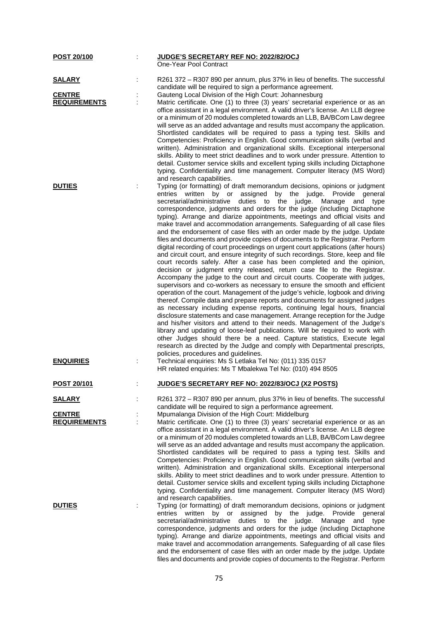| POST 20/100                          | JUDGE'S SECRETARY REF NO: 2022/82/OCJ<br>One-Year Pool Contract                                                                                                                                                                                                                                                                                                                                                                                                                                                                                                                                                                                                                                                                                                                                                                                                                                                                                                                                                                                                                                                                                                                                                                                                                                                                                                                                                                                                                                                                                                                                                                                                                                                                                                                                        |
|--------------------------------------|--------------------------------------------------------------------------------------------------------------------------------------------------------------------------------------------------------------------------------------------------------------------------------------------------------------------------------------------------------------------------------------------------------------------------------------------------------------------------------------------------------------------------------------------------------------------------------------------------------------------------------------------------------------------------------------------------------------------------------------------------------------------------------------------------------------------------------------------------------------------------------------------------------------------------------------------------------------------------------------------------------------------------------------------------------------------------------------------------------------------------------------------------------------------------------------------------------------------------------------------------------------------------------------------------------------------------------------------------------------------------------------------------------------------------------------------------------------------------------------------------------------------------------------------------------------------------------------------------------------------------------------------------------------------------------------------------------------------------------------------------------------------------------------------------------|
|                                      |                                                                                                                                                                                                                                                                                                                                                                                                                                                                                                                                                                                                                                                                                                                                                                                                                                                                                                                                                                                                                                                                                                                                                                                                                                                                                                                                                                                                                                                                                                                                                                                                                                                                                                                                                                                                        |
| <b>SALARY</b>                        | R261 372 - R307 890 per annum, plus 37% in lieu of benefits. The successful<br>candidate will be required to sign a performance agreement.                                                                                                                                                                                                                                                                                                                                                                                                                                                                                                                                                                                                                                                                                                                                                                                                                                                                                                                                                                                                                                                                                                                                                                                                                                                                                                                                                                                                                                                                                                                                                                                                                                                             |
| <b>CENTRE</b>                        | Gauteng Local Division of the High Court: Johannesburg                                                                                                                                                                                                                                                                                                                                                                                                                                                                                                                                                                                                                                                                                                                                                                                                                                                                                                                                                                                                                                                                                                                                                                                                                                                                                                                                                                                                                                                                                                                                                                                                                                                                                                                                                 |
| <b>REQUIREMENTS</b>                  | Matric certificate. One (1) to three (3) years' secretarial experience or as an                                                                                                                                                                                                                                                                                                                                                                                                                                                                                                                                                                                                                                                                                                                                                                                                                                                                                                                                                                                                                                                                                                                                                                                                                                                                                                                                                                                                                                                                                                                                                                                                                                                                                                                        |
|                                      | office assistant in a legal environment. A valid driver's license. An LLB degree<br>or a minimum of 20 modules completed towards an LLB, BA/BCom Law degree<br>will serve as an added advantage and results must accompany the application.<br>Shortlisted candidates will be required to pass a typing test. Skills and<br>Competencies: Proficiency in English. Good communication skills (verbal and<br>written). Administration and organizational skills. Exceptional interpersonal<br>skills. Ability to meet strict deadlines and to work under pressure. Attention to<br>detail. Customer service skills and excellent typing skills including Dictaphone<br>typing. Confidentiality and time management. Computer literacy (MS Word)<br>and research capabilities.                                                                                                                                                                                                                                                                                                                                                                                                                                                                                                                                                                                                                                                                                                                                                                                                                                                                                                                                                                                                                            |
| <b>DUTIES</b>                        | Typing (or formatting) of draft memorandum decisions, opinions or judgment<br>by or<br>assigned<br>by<br>the<br>judge.<br>Provide<br>entries<br>written<br>general<br>secretarial/administrative<br>duties to the judge.<br>Manage<br>and<br>type<br>correspondence, judgments and orders for the judge (including Dictaphone<br>typing). Arrange and diarize appointments, meetings and official visits and<br>make travel and accommodation arrangements. Safeguarding of all case files<br>and the endorsement of case files with an order made by the judge. Update<br>files and documents and provide copies of documents to the Registrar. Perform<br>digital recording of court proceedings on urgent court applications (after hours)<br>and circuit court, and ensure integrity of such recordings. Store, keep and file<br>court records safely. After a case has been completed and the opinion,<br>decision or judgment entry released, return case file to the Registrar.<br>Accompany the judge to the court and circuit courts. Cooperate with judges,<br>supervisors and co-workers as necessary to ensure the smooth and efficient<br>operation of the court. Management of the judge's vehicle, logbook and driving<br>thereof. Compile data and prepare reports and documents for assigned judges<br>as necessary including expense reports, continuing legal hours, financial<br>disclosure statements and case management. Arrange reception for the Judge<br>and his/her visitors and attend to their needs. Management of the Judge's<br>library and updating of loose-leaf publications. Will be required to work with<br>other Judges should there be a need. Capture statistics, Execute legal<br>research as directed by the Judge and comply with Departmental prescripts, |
| <b>ENQUIRIES</b>                     | policies, procedures and guidelines.<br>Technical enquiries: Ms S Letlaka Tel No: (011) 335 0157<br>HR related enquiries: Ms T Mbalekwa Tel No: (010) 494 8505                                                                                                                                                                                                                                                                                                                                                                                                                                                                                                                                                                                                                                                                                                                                                                                                                                                                                                                                                                                                                                                                                                                                                                                                                                                                                                                                                                                                                                                                                                                                                                                                                                         |
| <u>POST 20/101</u>                   | <b>JUDGE'S SECRETARY REF NO: 2022/83/OCJ (X2 POSTS)</b>                                                                                                                                                                                                                                                                                                                                                                                                                                                                                                                                                                                                                                                                                                                                                                                                                                                                                                                                                                                                                                                                                                                                                                                                                                                                                                                                                                                                                                                                                                                                                                                                                                                                                                                                                |
| <u>SALARY</u>                        | R261 372 - R307 890 per annum, plus 37% in lieu of benefits. The successful<br>candidate will be required to sign a performance agreement.                                                                                                                                                                                                                                                                                                                                                                                                                                                                                                                                                                                                                                                                                                                                                                                                                                                                                                                                                                                                                                                                                                                                                                                                                                                                                                                                                                                                                                                                                                                                                                                                                                                             |
| <b>CENTRE</b><br><b>REQUIREMENTS</b> | Mpumalanga Division of the High Court: Middelburg<br>Matric certificate. One (1) to three (3) years' secretarial experience or as an<br>office assistant in a legal environment. A valid driver's license. An LLB degree<br>or a minimum of 20 modules completed towards an LLB, BA/BCom Law degree<br>will serve as an added advantage and results must accompany the application.<br>Shortlisted candidates will be required to pass a typing test. Skills and<br>Competencies: Proficiency in English. Good communication skills (verbal and<br>written). Administration and organizational skills. Exceptional interpersonal<br>skills. Ability to meet strict deadlines and to work under pressure. Attention to<br>detail. Customer service skills and excellent typing skills including Dictaphone<br>typing. Confidentiality and time management. Computer literacy (MS Word)<br>and research capabilities.                                                                                                                                                                                                                                                                                                                                                                                                                                                                                                                                                                                                                                                                                                                                                                                                                                                                                    |
| <b>DUTIES</b>                        | Typing (or formatting) of draft memorandum decisions, opinions or judgment<br>assigned<br>by the judge. Provide general<br>entries written<br>by or<br>secretarial/administrative<br>duties to the judge.<br>Manage<br>and<br>type<br>correspondence, judgments and orders for the judge (including Dictaphone<br>typing). Arrange and diarize appointments, meetings and official visits and<br>make travel and accommodation arrangements. Safeguarding of all case files<br>and the endorsement of case files with an order made by the judge. Update                                                                                                                                                                                                                                                                                                                                                                                                                                                                                                                                                                                                                                                                                                                                                                                                                                                                                                                                                                                                                                                                                                                                                                                                                                               |

files and documents and provide copies of documents to the Registrar. Perform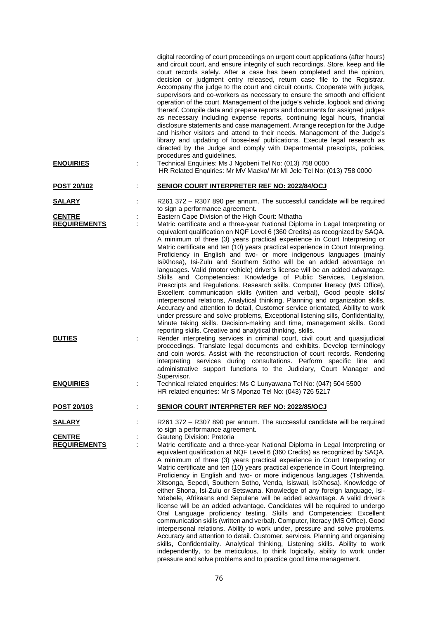|                                      | digital recording of court proceedings on urgent court applications (after hours)<br>and circuit court, and ensure integrity of such recordings. Store, keep and file<br>court records safely. After a case has been completed and the opinion,<br>decision or judgment entry released, return case file to the Registrar.<br>Accompany the judge to the court and circuit courts. Cooperate with judges,<br>supervisors and co-workers as necessary to ensure the smooth and efficient<br>operation of the court. Management of the judge's vehicle, logbook and driving<br>thereof. Compile data and prepare reports and documents for assigned judges<br>as necessary including expense reports, continuing legal hours, financial<br>disclosure statements and case management. Arrange reception for the Judge<br>and his/her visitors and attend to their needs. Management of the Judge's<br>library and updating of loose-leaf publications. Execute legal research as<br>directed by the Judge and comply with Departmental prescripts, policies,<br>procedures and guidelines.                                                                                                                                                                                                                |
|--------------------------------------|---------------------------------------------------------------------------------------------------------------------------------------------------------------------------------------------------------------------------------------------------------------------------------------------------------------------------------------------------------------------------------------------------------------------------------------------------------------------------------------------------------------------------------------------------------------------------------------------------------------------------------------------------------------------------------------------------------------------------------------------------------------------------------------------------------------------------------------------------------------------------------------------------------------------------------------------------------------------------------------------------------------------------------------------------------------------------------------------------------------------------------------------------------------------------------------------------------------------------------------------------------------------------------------------------------|
| <b>ENQUIRIES</b>                     | Technical Enquiries: Ms J Ngobeni Tel No: (013) 758 0000<br>HR Related Enquiries: Mr MV Maeko/ Mr MI Jele Tel No: (013) 758 0000                                                                                                                                                                                                                                                                                                                                                                                                                                                                                                                                                                                                                                                                                                                                                                                                                                                                                                                                                                                                                                                                                                                                                                        |
| POST 20/102                          | <b>SENIOR COURT INTERPRETER REF NO: 2022/84/OCJ</b>                                                                                                                                                                                                                                                                                                                                                                                                                                                                                                                                                                                                                                                                                                                                                                                                                                                                                                                                                                                                                                                                                                                                                                                                                                                     |
| <b>SALARY</b>                        | R261 372 - R307 890 per annum. The successful candidate will be required                                                                                                                                                                                                                                                                                                                                                                                                                                                                                                                                                                                                                                                                                                                                                                                                                                                                                                                                                                                                                                                                                                                                                                                                                                |
|                                      | to sign a performance agreement.                                                                                                                                                                                                                                                                                                                                                                                                                                                                                                                                                                                                                                                                                                                                                                                                                                                                                                                                                                                                                                                                                                                                                                                                                                                                        |
| <b>CENTRE</b><br><b>REQUIREMENTS</b> | Eastern Cape Division of the High Court: Mthatha<br>Matric certificate and a three-year National Diploma in Legal Interpreting or                                                                                                                                                                                                                                                                                                                                                                                                                                                                                                                                                                                                                                                                                                                                                                                                                                                                                                                                                                                                                                                                                                                                                                       |
| <b>DUTIES</b>                        | equivalent qualification on NQF Level 6 (360 Credits) as recognized by SAQA.<br>A minimum of three (3) years practical experience in Court Interpreting or<br>Matric certificate and ten (10) years practical experience in Court Interpreting.<br>Proficiency in English and two- or more indigenous languages (mainly<br>IsiXhosa), Isi-Zulu and Southern Sotho will be an added advantage on<br>languages. Valid (motor vehicle) driver's license will be an added advantage.<br>Skills and Competencies: Knowledge of Public Services, Legislation,<br>Prescripts and Regulations. Research skills. Computer literacy (MS Office),<br>Excellent communication skills (written and verbal), Good people skills/<br>interpersonal relations, Analytical thinking, Planning and organization skills,<br>Accuracy and attention to detail, Customer service orientated, Ability to work<br>under pressure and solve problems, Exceptional listening sills, Confidentiality,<br>Minute taking skills. Decision-making and time, management skills. Good<br>reporting skills. Creative and analytical thinking, skills.<br>Render interpreting services in criminal court, civil court and quasijudicial                                                                                                  |
|                                      | proceedings. Translate legal documents and exhibits. Develop terminology<br>and coin words. Assist with the reconstruction of court records. Rendering<br>interpreting services during consultations. Perform specific line and<br>administrative support functions to the Judiciary, Court Manager and<br>Supervisor.                                                                                                                                                                                                                                                                                                                                                                                                                                                                                                                                                                                                                                                                                                                                                                                                                                                                                                                                                                                  |
| <b>ENQUIRIES</b>                     | Technical related enquiries: Ms C Lunyawana Tel No: (047) 504 5500<br>HR related enquiries: Mr S Mponzo Tel No: (043) 726 5217                                                                                                                                                                                                                                                                                                                                                                                                                                                                                                                                                                                                                                                                                                                                                                                                                                                                                                                                                                                                                                                                                                                                                                          |
| <u>POST 20/103</u>                   | <b>SENIOR COURT INTERPRETER REF NO: 2022/85/OCJ</b>                                                                                                                                                                                                                                                                                                                                                                                                                                                                                                                                                                                                                                                                                                                                                                                                                                                                                                                                                                                                                                                                                                                                                                                                                                                     |
| <b>SALARY</b>                        | R261 372 - R307 890 per annum. The successful candidate will be required<br>to sign a performance agreement.                                                                                                                                                                                                                                                                                                                                                                                                                                                                                                                                                                                                                                                                                                                                                                                                                                                                                                                                                                                                                                                                                                                                                                                            |
| <b>CENTRE</b>                        | Gauteng Division: Pretoria                                                                                                                                                                                                                                                                                                                                                                                                                                                                                                                                                                                                                                                                                                                                                                                                                                                                                                                                                                                                                                                                                                                                                                                                                                                                              |
| <b>REQUIREMENTS</b>                  | Matric certificate and a three-year National Diploma in Legal Interpreting or<br>equivalent qualification at NQF Level 6 (360 Credits) as recognized by SAQA.<br>A minimum of three (3) years practical experience in Court Interpreting or<br>Matric certificate and ten (10) years practical experience in Court Interpreting.<br>Proficiency in English and two- or more indigenous languages (Tshivenda,<br>Xitsonga, Sepedi, Southern Sotho, Venda, Isiswati, IsiXhosa). Knowledge of<br>either Shona, Isi-Zulu or Setswana. Knowledge of any foreign language, Isi-<br>Ndebele, Afrikaans and Sepulane will be added advantage. A valid driver's<br>license will be an added advantage. Candidates will be required to undergo<br>Oral Language proficiency testing. Skills and Competencies: Excellent<br>communication skills (written and verbal). Computer, literacy (MS Office). Good<br>interpersonal relations. Ability to work under, pressure and solve problems.<br>Accuracy and attention to detail. Customer, services. Planning and organising<br>skills, Confidentiality. Analytical thinking, Listening skills. Ability to work<br>independently, to be meticulous, to think logically, ability to work under<br>pressure and solve problems and to practice good time management. |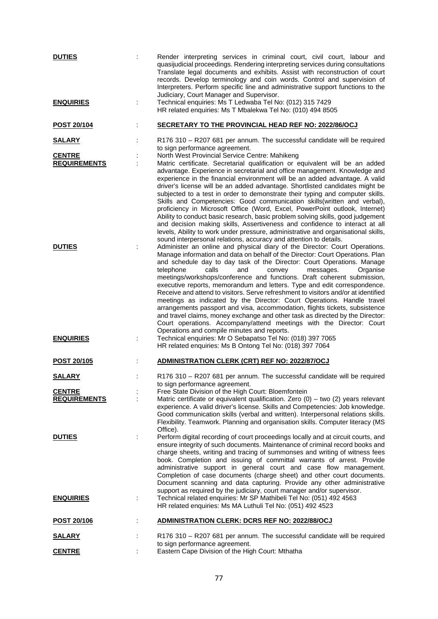| <b>DUTIES</b>                        |   | Render interpreting services in criminal court, civil court, labour and<br>quasijudicial proceedings. Rendering interpreting services during consultations<br>Translate legal documents and exhibits. Assist with reconstruction of court<br>records. Develop terminology and coin words. Control and supervision of<br>Interpreters. Perform specific line and administrative support functions to the<br>Judiciary, Court Manager and Supervisor.                                                                                                                                                                                                                                                                                                                                                                                                                                                                                                                           |
|--------------------------------------|---|-------------------------------------------------------------------------------------------------------------------------------------------------------------------------------------------------------------------------------------------------------------------------------------------------------------------------------------------------------------------------------------------------------------------------------------------------------------------------------------------------------------------------------------------------------------------------------------------------------------------------------------------------------------------------------------------------------------------------------------------------------------------------------------------------------------------------------------------------------------------------------------------------------------------------------------------------------------------------------|
| <b>ENQUIRIES</b>                     | t | Technical enquiries: Ms T Ledwaba Tel No: (012) 315 7429<br>HR related enquiries: Ms T Mbalekwa Tel No: (010) 494 8505                                                                                                                                                                                                                                                                                                                                                                                                                                                                                                                                                                                                                                                                                                                                                                                                                                                        |
| <b>POST 20/104</b>                   |   | <b>SECRETARY TO THE PROVINCIAL HEAD REF NO: 2022/86/OCJ</b>                                                                                                                                                                                                                                                                                                                                                                                                                                                                                                                                                                                                                                                                                                                                                                                                                                                                                                                   |
| <b>SALARY</b>                        |   | R176 310 - R207 681 per annum. The successful candidate will be required<br>to sign performance agreement.                                                                                                                                                                                                                                                                                                                                                                                                                                                                                                                                                                                                                                                                                                                                                                                                                                                                    |
| <b>CENTRE</b>                        |   | North West Provincial Service Centre: Mahikeng                                                                                                                                                                                                                                                                                                                                                                                                                                                                                                                                                                                                                                                                                                                                                                                                                                                                                                                                |
| <b>REQUIREMENTS</b><br><b>DUTIES</b> |   | Matric certificate. Secretarial qualification or equivalent will be an added<br>advantage. Experience in secretarial and office management. Knowledge and<br>experience in the financial environment will be an added advantage. A valid<br>driver's license will be an added advantage. Shortlisted candidates might be<br>subjected to a test in order to demonstrate their typing and computer skills.<br>Skills and Competencies: Good communication skills(written and verbal),<br>proficiency in Microsoft Office (Word, Excel, PowerPoint outlook, Internet)<br>Ability to conduct basic research, basic problem solving skills, good judgement<br>and decision making skills, Assertiveness and confidence to interact at all<br>levels, Ability to work under pressure, administrative and organisational skills,<br>sound interpersonal relations, accuracy and attention to details.<br>Administer an online and physical diary of the Director: Court Operations. |
|                                      |   | Manage information and data on behalf of the Director: Court Operations. Plan<br>and schedule day to day task of the Director: Court Operations. Manage<br>calls<br>Organise<br>telephone<br>and<br>convey<br>messages.<br>meetings/workshops/conference and functions. Draft coherent submission,<br>executive reports, memorandum and letters. Type and edit correspondence.<br>Receive and attend to visitors. Serve refreshment to visitors and/or at identified<br>meetings as indicated by the Director: Court Operations. Handle travel<br>arrangements passport and visa, accommodation, flights tickets, subsistence<br>and travel claims, money exchange and other task as directed by the Director:<br>Court operations. Accompany/attend meetings with the Director: Court<br>Operations and compile minutes and reports.                                                                                                                                         |
| <b>ENQUIRIES</b>                     |   | Technical enquiries: Mr O Sebapatso Tel No: (018) 397 7065<br>HR related enquiries: Ms B Ontong Tel No: (018) 397 7064                                                                                                                                                                                                                                                                                                                                                                                                                                                                                                                                                                                                                                                                                                                                                                                                                                                        |
| POST 20/105                          |   | <b>ADMINISTRATION CLERK (CRT) REF NO: 2022/87/OCJ</b>                                                                                                                                                                                                                                                                                                                                                                                                                                                                                                                                                                                                                                                                                                                                                                                                                                                                                                                         |
| <u>SALARY</u>                        |   | R176 310 - R207 681 per annum. The successful candidate will be required<br>to sign performance agreement.                                                                                                                                                                                                                                                                                                                                                                                                                                                                                                                                                                                                                                                                                                                                                                                                                                                                    |
| <b>CENTRE</b>                        |   | Free State Division of the High Court: Bloemfontein                                                                                                                                                                                                                                                                                                                                                                                                                                                                                                                                                                                                                                                                                                                                                                                                                                                                                                                           |
| <b>REQUIREMENTS</b>                  |   | Matric certificate or equivalent qualification. Zero $(0)$ – two $(2)$ years relevant<br>experience. A valid driver's license. Skills and Competencies: Job knowledge.<br>Good communication skills (verbal and written). Interpersonal relations skills.<br>Flexibility. Teamwork. Planning and organisation skills. Computer literacy (MS<br>Office).                                                                                                                                                                                                                                                                                                                                                                                                                                                                                                                                                                                                                       |
| <b>DUTIES</b>                        | ÷ | Perform digital recording of court proceedings locally and at circuit courts, and<br>ensure integrity of such documents. Maintenance of criminal record books and<br>charge sheets, writing and tracing of summonses and writing of witness fees<br>book. Completion and issuing of committal warrants of arrest. Provide<br>administrative support in general court and case flow management.<br>Completion of case documents (charge sheet) and other court documents.<br>Document scanning and data capturing. Provide any other administrative<br>support as required by the judiciary, court manager and/or supervisor.                                                                                                                                                                                                                                                                                                                                                  |
| <b>ENQUIRIES</b>                     |   | Technical related enquiries: Mr SP Mathibeli Tel No: (051) 492 4563<br>HR related enquiries: Ms MA Luthuli Tel No: (051) 492 4523                                                                                                                                                                                                                                                                                                                                                                                                                                                                                                                                                                                                                                                                                                                                                                                                                                             |
| <u>POST 20/106</u>                   |   | <b>ADMINISTRATION CLERK: DCRS REF NO: 2022/88/OCJ</b>                                                                                                                                                                                                                                                                                                                                                                                                                                                                                                                                                                                                                                                                                                                                                                                                                                                                                                                         |
| <u>SALARY</u>                        |   | R176 310 - R207 681 per annum. The successful candidate will be required<br>to sign performance agreement.                                                                                                                                                                                                                                                                                                                                                                                                                                                                                                                                                                                                                                                                                                                                                                                                                                                                    |
| <b>CENTRE</b>                        |   | Eastern Cape Division of the High Court: Mthatha                                                                                                                                                                                                                                                                                                                                                                                                                                                                                                                                                                                                                                                                                                                                                                                                                                                                                                                              |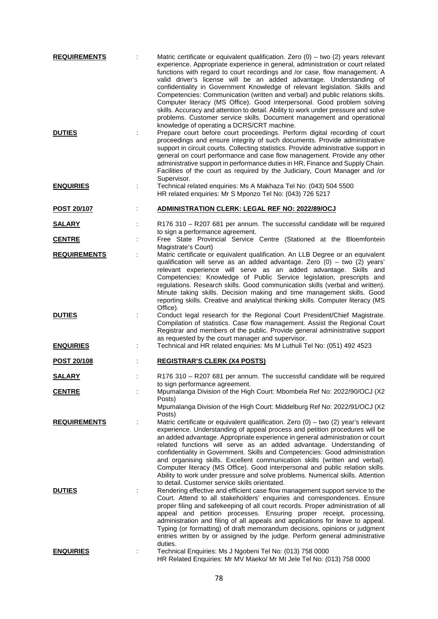| <b>REQUIREMENTS</b> |   | Matric certificate or equivalent qualification. Zero $(0)$ – two $(2)$ years relevant<br>experience. Appropriate experience in general, administration or court related<br>functions with regard to court recordings and /or case, flow management. A<br>valid driver's license will be an added advantage. Understanding of                                                                                                                                                                                                                                                   |
|---------------------|---|--------------------------------------------------------------------------------------------------------------------------------------------------------------------------------------------------------------------------------------------------------------------------------------------------------------------------------------------------------------------------------------------------------------------------------------------------------------------------------------------------------------------------------------------------------------------------------|
|                     |   | confidentiality in Government Knowledge of relevant legislation. Skills and<br>Competencies: Communication (written and verbal) and public relations skills.<br>Computer literacy (MS Office). Good interpersonal. Good problem solving<br>skills. Accuracy and attention to detail. Ability to work under pressure and solve<br>problems. Customer service skills. Document management and operational<br>knowledge of operating a DCRS/CRT machine.                                                                                                                          |
| <b>DUTIES</b>       |   | Prepare court before court proceedings. Perform digital recording of court<br>proceedings and ensure integrity of such documents. Provide administrative<br>support in circuit courts. Collecting statistics. Provide administrative support in<br>general on court performance and case flow management. Provide any other<br>administrative support in performance duties in HR, Finance and Supply Chain.<br>Facilities of the court as required by the Judiciary, Court Manager and /or<br>Supervisor.                                                                     |
| <b>ENQUIRIES</b>    | ÷ | Technical related enquiries: Ms A Makhaza Tel No: (043) 504 5500<br>HR related enquiries: Mr S Mponzo Tel No: (043) 726 5217                                                                                                                                                                                                                                                                                                                                                                                                                                                   |
| <b>POST 20/107</b>  |   | ADMINISTRATION CLERK: LEGAL REF NO: 2022/89/OCJ                                                                                                                                                                                                                                                                                                                                                                                                                                                                                                                                |
| <b>SALARY</b>       |   | R176 310 - R207 681 per annum. The successful candidate will be required<br>to sign a performance agreement.                                                                                                                                                                                                                                                                                                                                                                                                                                                                   |
| <b>CENTRE</b>       |   | Free State Provincial Service Centre (Stationed at the Bloemfontein                                                                                                                                                                                                                                                                                                                                                                                                                                                                                                            |
| <b>REQUIREMENTS</b> |   | Magistrate's Court)<br>Matric certificate or equivalent qualification. An LLB Degree or an equivalent<br>qualification will serve as an added advantage. Zero $(0)$ – two $(2)$ years'<br>relevant experience will serve as an added advantage. Skills and<br>Competencies: Knowledge of Public Service legislation, prescripts and                                                                                                                                                                                                                                            |
|                     |   | regulations. Research skills. Good communication skills (verbal and written).<br>Minute taking skills. Decision making and time management skills. Good<br>reporting skills. Creative and analytical thinking skills. Computer literacy (MS<br>Office).                                                                                                                                                                                                                                                                                                                        |
| <b>DUTIES</b>       |   | Conduct legal research for the Regional Court President/Chief Magistrate.<br>Compilation of statistics. Case flow management. Assist the Regional Court<br>Registrar and members of the public. Provide general administrative support<br>as requested by the court manager and supervisor.                                                                                                                                                                                                                                                                                    |
| <b>ENQUIRIES</b>    | t | Technical and HR related enquiries: Ms M Luthuli Tel No: (051) 492 4523                                                                                                                                                                                                                                                                                                                                                                                                                                                                                                        |
| POST 20/108         |   | <b>REGISTRAR'S CLERK (X4 POSTS)</b>                                                                                                                                                                                                                                                                                                                                                                                                                                                                                                                                            |
| <b>SALARY</b>       |   | R176 310 - R207 681 per annum. The successful candidate will be required<br>to sign performance agreement.                                                                                                                                                                                                                                                                                                                                                                                                                                                                     |
| <b>CENTRE</b>       |   | Mpumalanga Division of the High Court: Mbombela Ref No: 2022/90/OCJ (X2<br>Posts)<br>Mpumalanga Division of the High Court: Middelburg Ref No: 2022/91/OCJ (X2                                                                                                                                                                                                                                                                                                                                                                                                                 |
| <b>REQUIREMENTS</b> |   | Posts)<br>Matric certificate or equivalent qualification. Zero $(0)$ – two $(2)$ year's relevant                                                                                                                                                                                                                                                                                                                                                                                                                                                                               |
|                     |   | experience. Understanding of appeal process and petition procedures will be<br>an added advantage. Appropriate experience in general administration or court<br>related functions will serve as an added advantage. Understanding of<br>confidentiality in Government. Skills and Competencies: Good administration<br>and organising skills. Excellent communication skills (written and verbal).<br>Computer literacy (MS Office). Good interpersonal and public relation skills.                                                                                            |
|                     |   | Ability to work under pressure and solve problems. Numerical skills. Attention<br>to detail. Customer service skills orientated.                                                                                                                                                                                                                                                                                                                                                                                                                                               |
| <b>DUTIES</b>       |   | Rendering effective and efficient case flow management support service to the<br>Court. Attend to all stakeholders' enquiries and correspondences. Ensure<br>proper filing and safekeeping of all court records. Proper administration of all<br>appeal and petition processes. Ensuring proper receipt, processing,<br>administration and filing of all appeals and applications for leave to appeal.<br>Typing (or formatting) of draft memorandum decisions, opinions or judgment<br>entries written by or assigned by the judge. Perform general administrative<br>duties. |
| <b>ENQUIRIES</b>    |   | Technical Enquiries: Ms J Ngobeni Tel No: (013) 758 0000<br>HR Related Enquiries: Mr MV Maeko/ Mr MI Jele Tel No: (013) 758 0000                                                                                                                                                                                                                                                                                                                                                                                                                                               |